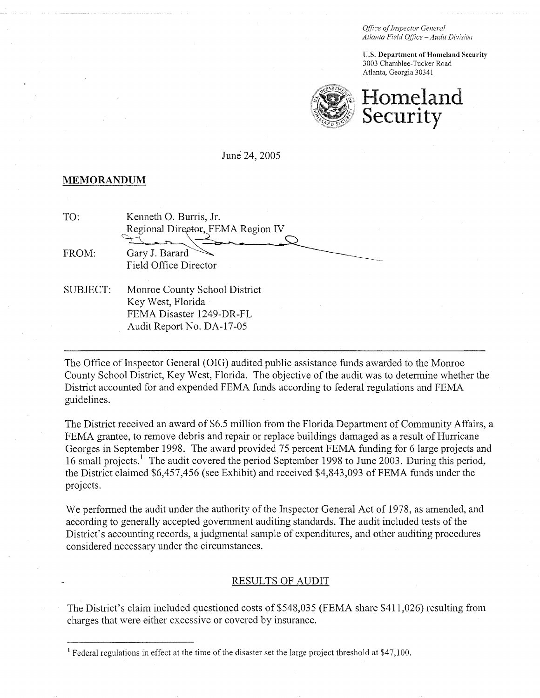Office of Inspector General Atlanta Field Office - Audit Division

**U.S. Department of Homeland Security** 3003 Chamblee-Tucker Road Atlanta, Georgia 30341



#### June 24,2005

#### **MEMORANDUM**

| Kenneth O. Burris, Jr.            |  |
|-----------------------------------|--|
| Regional Director, FEMA Region IV |  |
|                                   |  |
| Gary J. Barard                    |  |
| Field Office Director             |  |
|                                   |  |

SUBJECT: Monroe County School District Key West, Florida FEMA Disaster 1249-DR-FL Audit Report No. DA-17-05

The Office of Inspector General (OIG) audited public assistance funds awarded to the Monroe County School District, Key West, Florida. The objective of the audit was to determine whether the District accounted for and expended FEMA funds according to federal regulations and FEMA guidelines.

The District received an award of \$6.5 million from the Florida Department of Community Affairs, a FEMA grantee, to remove debris and repair or replace buildings damaged as a result of Hurricane Georges in September 1998. The award provided 75 percent FEMA funding for 6 large projects and 16 small projects.<sup>1</sup> The audit covered the period September 1998 to June 2003. During this period, the District claimed \$6,457,456 (see Exhibit) and received \$4,843,093 of FEMA funds under the projects.

We performed the audit under the authority of the Inspector General Act of 1978, as amended, and according to generally accepted government auditing standards. The audit included tests of the District's accounting records, a judgmental sample of expenditures, and other auditing procedures considered necessary under the circumstances.

### RESULTS OF AUDIT

The District's claim included questioned costs of \$548,035 (FEMA share \$41 1,026) resulting from charges that were either excessive or covered by insurance.

<sup>&#</sup>x27; Federal regulations in effect at the time of the disaster set the large project threshold at \$47,100.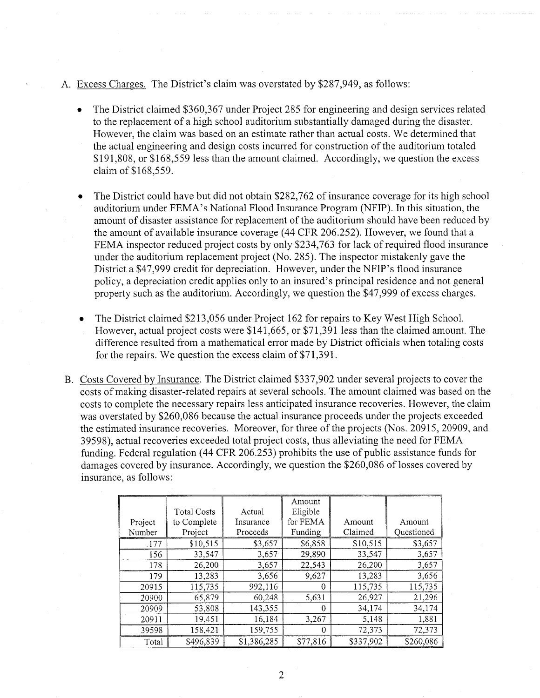- A. Excess Charges. The District's claim was overstated by \$287,949, as follows:
	- The District claimed \$360,367 under Project 285 for engineering and design services related to the replacement of a high school auditorium substantially damaged during the disaster. However, the claim was based on an estimate rather than actual costs. We determined that the actual engineering and design costs incurred for construction of the auditorium totaled \$191,808, or \$168,559 less than the amount claimed. Accordingly, we question the excess claim of \$168,559.
	- The District could have but did not obtain \$282,762 of insurance coverage for its high school auditorium under FEMA's National Flood Insurance Program (NFIP). In this situation, the amount of disaster assistance for replacement of the auditorium should have been reduced by the amount of available insurance coverage (44 CFR 206.252). However, we found that a FEMA inspector reduced project costs by only \$234,763 for lack of required flood insurance under the auditorium replacement project (No. 285). The inspector mistakenly gave the District a \$47,999 credit for depreciation. However, under the NFIP's flood insurance policy, a depreciation credit applies only to an insured's principal residence and not general property such as the auditorium. Accordingly, we question the \$47,999 of excess charges.
	- The District claimed \$213,056 under Project 162 for repairs to Key West High School. However, actual project costs were \$141,665, or \$71,391 less than the claimed amount. The difference resulted from a mathematical error made by District officials when totaling costs for the repairs. We question the excess claim of \$71,391.
- B. Costs Covered by Insurance. The District claimed \$337,902 under several projects to cover the costs of making disaster-related repairs at several schools. The amount claimed was based on the costs to complete the necessary repairs less anticipated insurance recoveries. However, the claim was overstated by \$260,086 because the actual insurance proceeds under the projects exceeded the estimated insurance recoveries. Moreover, for three of the projects (Nos. 20915,20909, and 39598), actual recoveries exceeded total project costs, thus alleviating the need for FEMA funding. Federal regulation (44 CFR 206.253) prohibits the use of public assistance funds for damages covered by insurance. Accordingly, we question the \$260,086 of losses covered by insurance, as follows:

|         | <b>Total Costs</b> | Actual      | Amount<br>Eligible |           |            |
|---------|--------------------|-------------|--------------------|-----------|------------|
| Project | to Complete        | Insurance   | for FEMA           | Amount    | Amount     |
| Number  | Project            | Proceeds    | Funding            | Claimed   | Questioned |
| .177    | \$10,515           | \$3,657     | \$6,858            | \$10,515  | \$3,657    |
| 156.    | 33,547             | 3,657       | 29,890             | 33,547    | 3,657      |
| 178     | 26,200             | 3,657       | 22,543             | 26,200    | 3,657      |
| 179     | 13,283             | 3,656       | 9,627              | 13,283    | 3,656      |
| 20915   | 115,735            | 992,116     | 0                  | 115,735   | 115,735    |
| 20900   | 65,879             | 60,248      | 5,631              | 26,927    | 21,296     |
| 20909   | 53,808             | 143,355     | 0                  | 34,174    | 34,174     |
| 20911   | 19,451             | 16,184      | 3,267              | 5,148     | 1,881      |
| 39598   | 158,421            | 159,755     | 0                  | 72,373    | 72,373     |
| Total   | \$496,839          | \$1,386,285 | \$77,816           | \$337,902 | \$260,086  |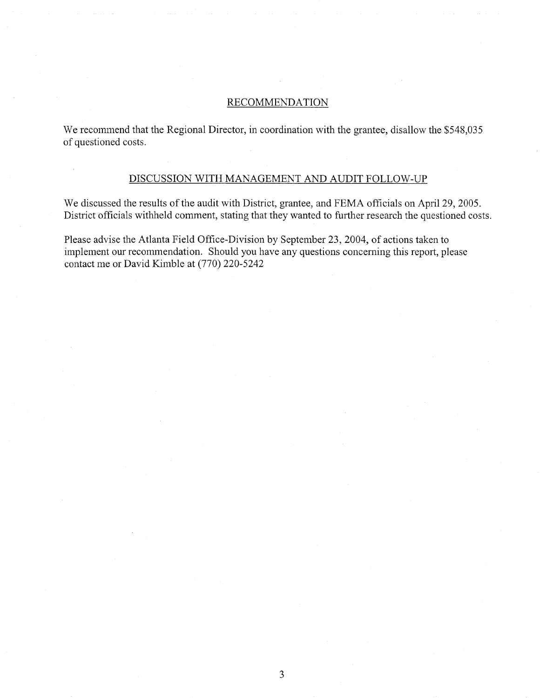### RECOMMENDATION

We recommend that the Regional Director, in coordination with the grantee, disallow the \$548,035 of questioned costs.

## DISCUSSION WITH MANAGEMENT AND AUDIT FOLLOW-UP

We discussed the results of the audit with District, grantee, and FEMA officials on April 29, 2005. District officials withheld comment, stating that they wanted to further research the questioned costs.

Please advise the Atlanta Field Office-Division by September 23,2004, of actions taken to implement our recommendation. Should you have any questions concerning this report, please contact me or David Kimble at (770) 220-5242